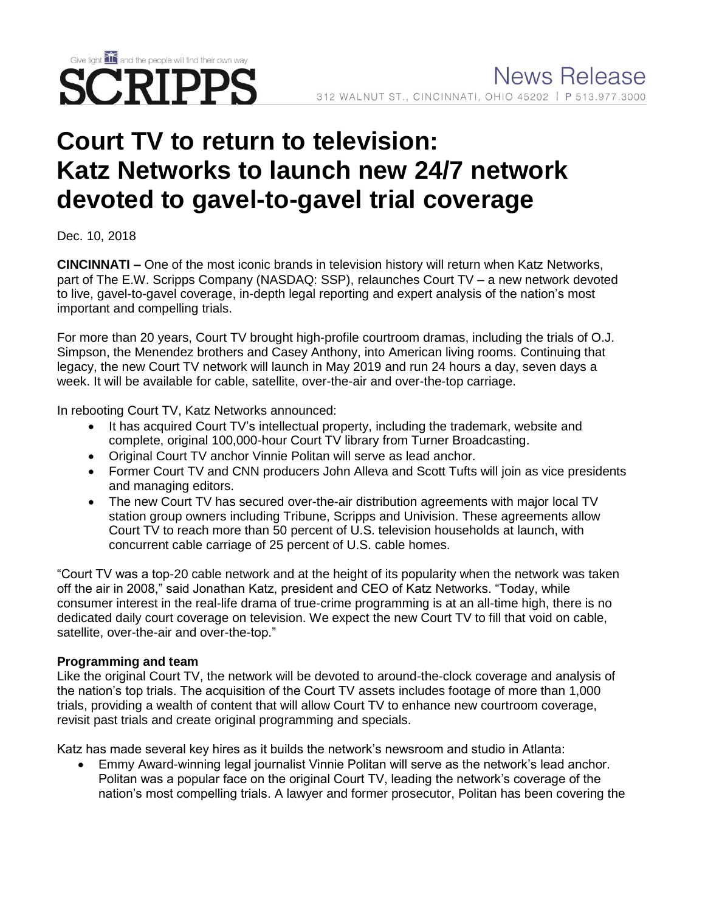# Give light **the and the people will find their own way** SCRIPPS

# **Court TV to return to television: Katz Networks to launch new 24/7 network devoted to gavel-to-gavel trial coverage**

Dec. 10, 2018

**CINCINNATI –** One of the most iconic brands in television history will return when Katz Networks, part of The E.W. Scripps Company (NASDAQ: SSP), relaunches Court TV – a new network devoted to live, gavel-to-gavel coverage, in-depth legal reporting and expert analysis of the nation's most important and compelling trials.

For more than 20 years, Court TV brought high-profile courtroom dramas, including the trials of O.J. Simpson, the Menendez brothers and Casey Anthony, into American living rooms. Continuing that legacy, the new Court TV network will launch in May 2019 and run 24 hours a day, seven days a week. It will be available for cable, satellite, over-the-air and over-the-top carriage.

In rebooting Court TV, Katz Networks announced:

- It has acquired Court TV's intellectual property, including the trademark, website and complete, original 100,000-hour Court TV library from Turner Broadcasting.
- Original Court TV anchor Vinnie Politan will serve as lead anchor.
- Former Court TV and CNN producers John Alleva and Scott Tufts will join as vice presidents and managing editors.
- The new Court TV has secured over-the-air distribution agreements with major local TV station group owners including Tribune, Scripps and Univision. These agreements allow Court TV to reach more than 50 percent of U.S. television households at launch, with concurrent cable carriage of 25 percent of U.S. cable homes.

"Court TV was a top-20 cable network and at the height of its popularity when the network was taken off the air in 2008," said Jonathan Katz, president and CEO of Katz Networks. "Today, while consumer interest in the real-life drama of true-crime programming is at an all-time high, there is no dedicated daily court coverage on television. We expect the new Court TV to fill that void on cable, satellite, over-the-air and over-the-top."

## **Programming and team**

Like the original Court TV, the network will be devoted to around-the-clock coverage and analysis of the nation's top trials. The acquisition of the Court TV assets includes footage of more than 1,000 trials, providing a wealth of content that will allow Court TV to enhance new courtroom coverage, revisit past trials and create original programming and specials.

Katz has made several key hires as it builds the network's newsroom and studio in Atlanta:

• Emmy Award-winning legal journalist Vinnie Politan will serve as the network's lead anchor. Politan was a popular face on the original Court TV, leading the network's coverage of the nation's most compelling trials. A lawyer and former prosecutor, Politan has been covering the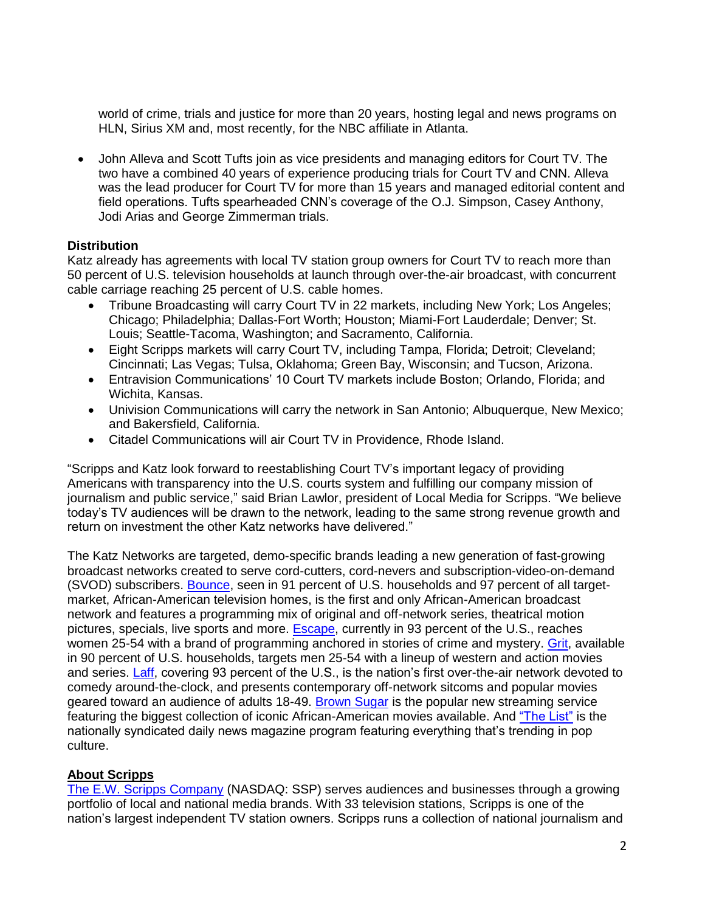world of crime, trials and justice for more than 20 years, hosting legal and news programs on HLN, Sirius XM and, most recently, for the NBC affiliate in Atlanta.

• John Alleva and Scott Tufts join as vice presidents and managing editors for Court TV. The two have a combined 40 years of experience producing trials for Court TV and CNN. Alleva was the lead producer for Court TV for more than 15 years and managed editorial content and field operations. Tufts spearheaded CNN's coverage of the O.J. Simpson, Casey Anthony, Jodi Arias and George Zimmerman trials.

#### **Distribution**

Katz already has agreements with local TV station group owners for Court TV to reach more than 50 percent of U.S. television households at launch through over-the-air broadcast, with concurrent cable carriage reaching 25 percent of U.S. cable homes.

- Tribune Broadcasting will carry Court TV in 22 markets, including New York; Los Angeles; Chicago; Philadelphia; Dallas-Fort Worth; Houston; Miami-Fort Lauderdale; Denver; St. Louis; Seattle-Tacoma, Washington; and Sacramento, California.
- Eight Scripps markets will carry Court TV, including Tampa, Florida; Detroit: Cleveland; Cincinnati; Las Vegas; Tulsa, Oklahoma; Green Bay, Wisconsin; and Tucson, Arizona.
- Entravision Communications' 10 Court TV markets include Boston; Orlando, Florida; and Wichita, Kansas.
- Univision Communications will carry the network in San Antonio; Albuquerque, New Mexico; and Bakersfield, California.
- Citadel Communications will air Court TV in Providence, Rhode Island.

"Scripps and Katz look forward to reestablishing Court TV's important legacy of providing Americans with transparency into the U.S. courts system and fulfilling our company mission of journalism and public service," said Brian Lawlor, president of Local Media for Scripps. "We believe today's TV audiences will be drawn to the network, leading to the same strong revenue growth and return on investment the other Katz networks have delivered."

The Katz Networks are targeted, demo-specific brands leading a new generation of fast-growing broadcast networks created to serve cord-cutters, cord-nevers and subscription-video-on-demand (SVOD) subscribers. [Bounce,](http://www.bouncetv.com/) seen in 91 percent of U.S. households and 97 percent of all targetmarket, African-American television homes, is the first and only African-American broadcast network and features a programming mix of original and off-network series, theatrical motion pictures, specials, live sports and more. [Escape,](http://www.escapetv.com/) currently in 93 percent of the U.S., reaches women 25-54 with a brand of programming anchored in stories of crime and mystery. [Grit,](http://www.grittv.com/tv) available in 90 percent of U.S. households, targets men 25-54 with a lineup of western and action movies and series. [Laff,](http://www.laff.com/) covering 93 percent of the U.S., is the nation's first over-the-air network devoted to comedy around-the-clock, and presents contemporary off-network sitcoms and popular movies geared toward an audience of adults 18-49. [Brown Sugar](https://www.brownsugar.com/) is the popular new streaming service featuring the biggest collection of iconic African-American movies available. And ["The List"](https://www.thelisttv.com/) is the nationally syndicated daily news magazine program featuring everything that's trending in pop culture.

## **About Scripps**

[The E.W. Scripps Company](http://www.scripps.com/) (NASDAQ: SSP) serves audiences and businesses through a growing portfolio of local and national media brands. With 33 television stations, Scripps is one of the nation's largest independent TV station owners. Scripps runs a collection of national journalism and